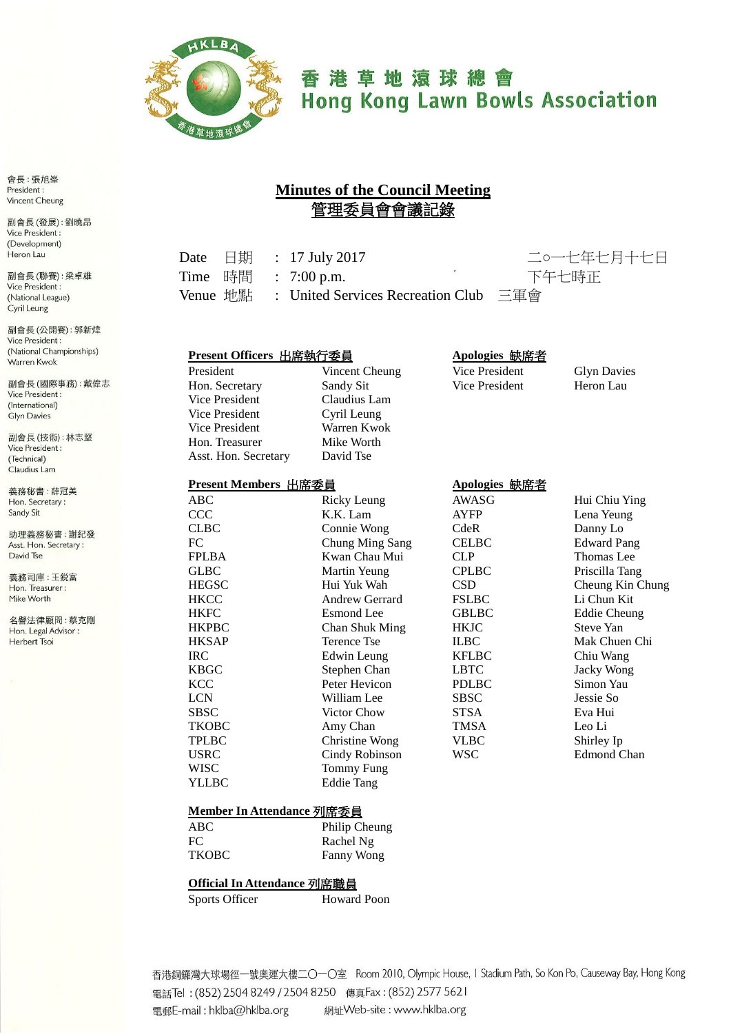

# 香港草地滾球總會 **Hong Kong Lawn Bowls Association**

**Minutes of the Council Meeting** 管理委員會會議記錄

Date 日期 : 17 July 2017 二○一七年七月十七日 Time 時間 : 7:00 p.m. 下午七時正

Venue 地點 : United Services Recreation Club 三軍會

#### **Present Officers** 出席執行委員 **Apologies** 缺席者

Vice President Claudius Lam Vice President Cyril Leung Vice President Warren Kwok Hon. Treasurer Mike Worth Asst. Hon. Secretary David Tse

**Present Members** 出席委員 **Apologies** 缺席者

ABC Ricky Leung AWASG Hui Chiu Ying CCC K.K. Lam AYFP Lena Yeung CLBC Connie Wong CdeR Danny Lo<br>
FC Chung Ming Sang CELBC Edward P FC Chung Ming Sang CELBC Edward Pang FPLBA Kwan Chau Mui CLP Thomas Lee GLBC Martin Yeung CPLBC Priscilla Tang HEGSC Hui Yuk Wah CSD Cheung Kin Chung HKCC Andrew Gerrard FSLBC Li Chun Kit HKFC Esmond Lee GBLBC Eddie Cheung HKPBC Chan Shuk Ming HKJC Steve Yan IRC Edwin Leung KFLBC Chiu Wang ERIGN Stephen Chan LBTC Jacky Wong<br>
KCC Peter Hevicon PDLBC Simon Yau Peter Hevicon LCN William Lee SBSC Jessie So SBSC Victor Chow STSA Eva Hui TKOBC Amy Chan TMSA Leo Li TPLBC Christine Wong VLBC Shirley Ip USRC Cindy Robinson WSC Edmond Chan WISC Tommy Fung YLLBC Eddie Tang

President Vincent Cheung Vice President Glyn Davies Hon. Secretary Sandy Sit Vice President Heron Lau

Terence Tse ILBC Mak Chuen Chi

#### **Member In Attendance** 列席委員

| ABC.         | Philip Cheung |
|--------------|---------------|
| FC.          | Rachel Ng     |
| <b>TKOBC</b> | Fanny Wong    |

#### **Official In Attendance** 列席職員

Sports Officer Howard Poon

香港銅鑼灣大球場徑一號奧運大樓二〇一〇室 Room 2010, Olympic House, I Stadium Path, So Kon Po, Causeway Bay, Hong Kong 電話Tel: (852) 2504 8249 / 2504 8250 傳真Fax: (852) 2577 5621 電郵E-mail: hklba@hklba.org 網址Web-site: www.hklba.org

會長:張旭峯 President: **Vincent Cheung** 

副會長(發展):劉曉昂 Vice President: (Development) Heron Lau

副會長(聯賽):梁卓雄 Vice President : (National League) Cyril Leung

副會長 (公開賽): 郭新煒 Vice President: (National Championships) Warren Kwok

副會長(國際事務):戴偉志 Vice President : (International) **Glyn Davies** 

副會長(技術):林志堅 Vice President : (Technical) Claudius Lam

義務秘書:薛冠美 Hon. Secretary: Sandy Sit

助理義務秘書:謝紀發 Asst. Hon. Secretary : David Tse

義務司庫:王鋭富 Hon. Treasurer: Mike Worth

名譽法律顧問:蔡克剛 Hon. Legal Advisor : Herbert Tsoi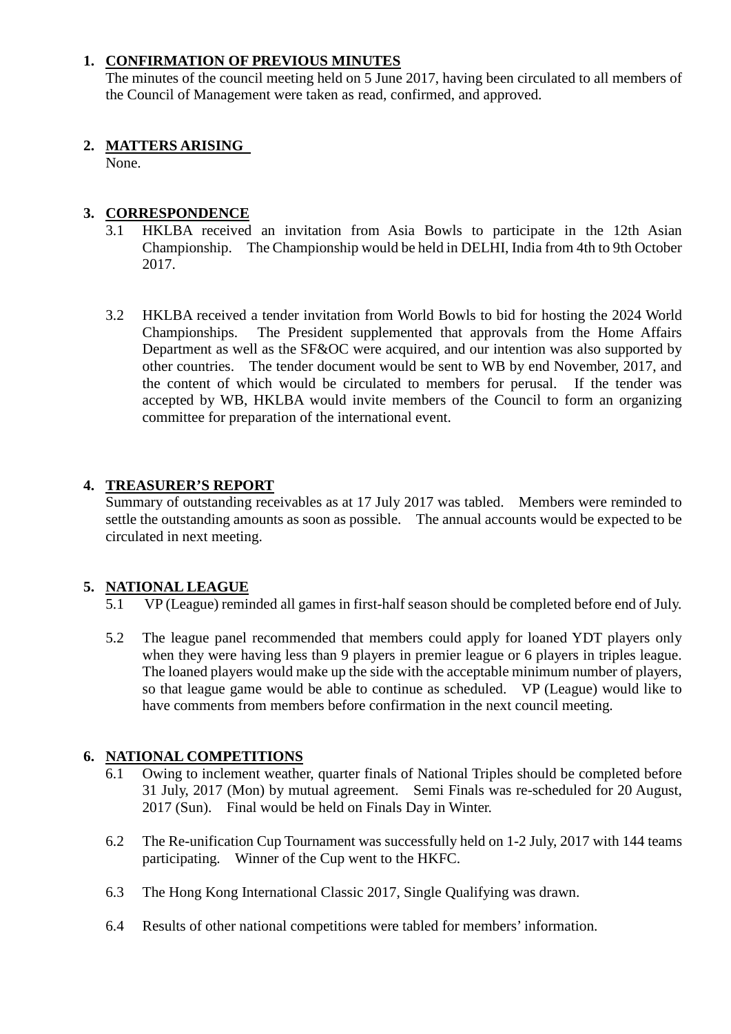#### **1. CONFIRMATION OF PREVIOUS MINUTES**

The minutes of the council meeting held on 5 June 2017, having been circulated to all members of the Council of Management were taken as read, confirmed, and approved.

#### **2. MATTERS ARISING**

None.

## **3. CORRESPONDENCE**

- 3.1 HKLBA received an invitation from Asia Bowls to participate in the 12th Asian Championship. The Championship would be held in DELHI, India from 4th to 9th October 2017.
- 3.2 HKLBA received a tender invitation from World Bowls to bid for hosting the 2024 World Championships. The President supplemented that approvals from the Home Affairs Department as well as the SF&OC were acquired, and our intention was also supported by other countries. The tender document would be sent to WB by end November, 2017, and the content of which would be circulated to members for perusal. If the tender was accepted by WB, HKLBA would invite members of the Council to form an organizing committee for preparation of the international event.

## **4. TREASURER'S REPORT**

Summary of outstanding receivables as at 17 July 2017 was tabled. Members were reminded to settle the outstanding amounts as soon as possible. The annual accounts would be expected to be circulated in next meeting.

## **5. NATIONAL LEAGUE**

- 5.1 VP (League) reminded all games in first-half season should be completed before end of July.
- 5.2 The league panel recommended that members could apply for loaned YDT players only when they were having less than 9 players in premier league or 6 players in triples league. The loaned players would make up the side with the acceptable minimum number of players, so that league game would be able to continue as scheduled. VP (League) would like to have comments from members before confirmation in the next council meeting.

## **6. NATIONAL COMPETITIONS**

- 6.1 Owing to inclement weather, quarter finals of National Triples should be completed before 31 July, 2017 (Mon) by mutual agreement. Semi Finals was re-scheduled for 20 August, 2017 (Sun). Final would be held on Finals Day in Winter.
- 6.2 The Re-unification Cup Tournament was successfully held on 1-2 July, 2017 with 144 teams participating. Winner of the Cup went to the HKFC.
- 6.3 The Hong Kong International Classic 2017, Single Qualifying was drawn.
- 6.4 Results of other national competitions were tabled for members' information.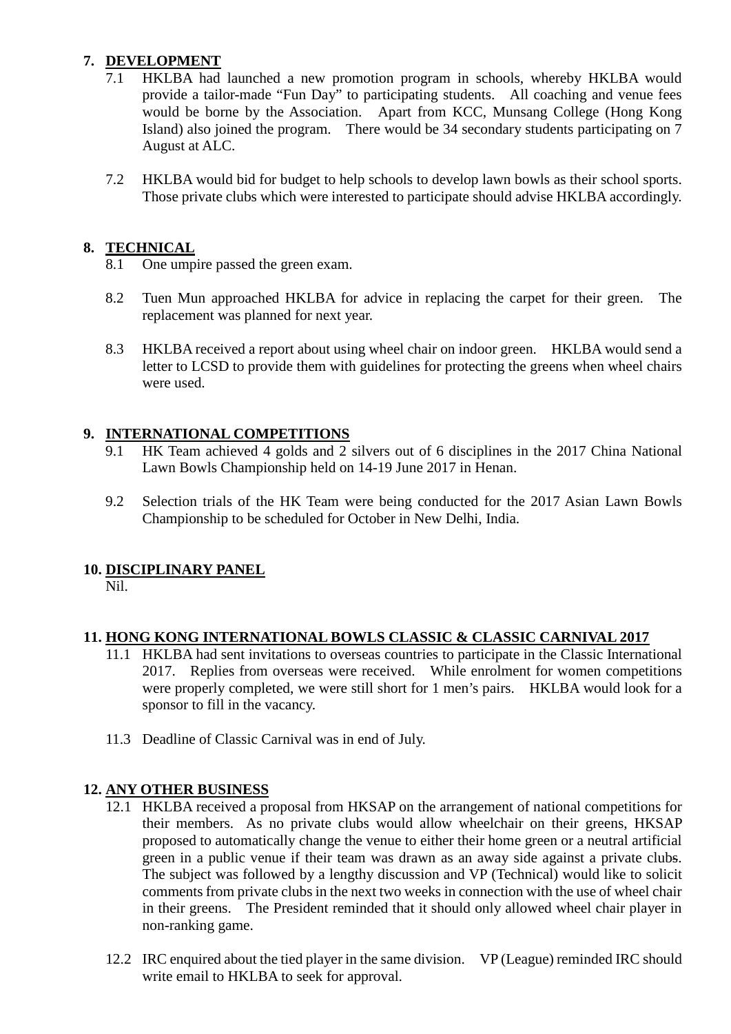## **7. DEVELOPMENT**

- 7.1 HKLBA had launched a new promotion program in schools, whereby HKLBA would provide a tailor-made "Fun Day" to participating students. All coaching and venue fees would be borne by the Association. Apart from KCC, Munsang College (Hong Kong Island) also joined the program. There would be 34 secondary students participating on 7 August at ALC.
- 7.2 HKLBA would bid for budget to help schools to develop lawn bowls as their school sports. Those private clubs which were interested to participate should advise HKLBA accordingly.

#### **8. TECHNICAL**

- 8.1 One umpire passed the green exam.
- 8.2 Tuen Mun approached HKLBA for advice in replacing the carpet for their green. The replacement was planned for next year.
- 8.3 HKLBA received a report about using wheel chair on indoor green. HKLBA would send a letter to LCSD to provide them with guidelines for protecting the greens when wheel chairs were used.

#### **9. INTERNATIONAL COMPETITIONS**

- 9.1 HK Team achieved 4 golds and 2 silvers out of 6 disciplines in the 2017 China National Lawn Bowls Championship held on 14-19 June 2017 in Henan.
- 9.2 Selection trials of the HK Team were being conducted for the 2017 Asian Lawn Bowls Championship to be scheduled for October in New Delhi, India.

## **10. DISCIPLINARY PANEL**

Nil.

## **11. HONG KONG INTERNATIONAL BOWLS CLASSIC & CLASSIC CARNIVAL 2017**

- 11.1 HKLBA had sent invitations to overseas countries to participate in the Classic International 2017. Replies from overseas were received. While enrolment for women competitions were properly completed, we were still short for 1 men's pairs. HKLBA would look for a sponsor to fill in the vacancy.
- 11.3 Deadline of Classic Carnival was in end of July.

#### **12. ANY OTHER BUSINESS**

- 12.1 HKLBA received a proposal from HKSAP on the arrangement of national competitions for their members. As no private clubs would allow wheelchair on their greens, HKSAP proposed to automatically change the venue to either their home green or a neutral artificial green in a public venue if their team was drawn as an away side against a private clubs. The subject was followed by a lengthy discussion and VP (Technical) would like to solicit comments from private clubs in the next two weeks in connection with the use of wheel chair in their greens. The President reminded that it should only allowed wheel chair player in non-ranking game.
- 12.2 IRC enquired about the tied player in the same division. VP (League) reminded IRC should write email to HKLBA to seek for approval.